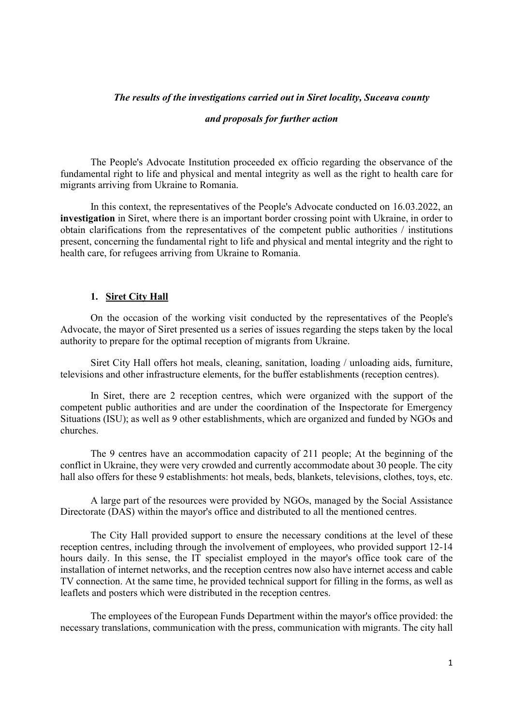# The results of the investigations carried out in Siret locality, Suceava county

#### and proposals for further action

The People's Advocate Institution proceeded ex officio regarding the observance of the fundamental right to life and physical and mental integrity as well as the right to health care for migrants arriving from Ukraine to Romania.

In this context, the representatives of the People's Advocate conducted on 16.03.2022, an investigation in Siret, where there is an important border crossing point with Ukraine, in order to obtain clarifications from the representatives of the competent public authorities / institutions present, concerning the fundamental right to life and physical and mental integrity and the right to health care, for refugees arriving from Ukraine to Romania.

## 1. Siret City Hall

On the occasion of the working visit conducted by the representatives of the People's Advocate, the mayor of Siret presented us a series of issues regarding the steps taken by the local authority to prepare for the optimal reception of migrants from Ukraine.

Siret City Hall offers hot meals, cleaning, sanitation, loading / unloading aids, furniture, televisions and other infrastructure elements, for the buffer establishments (reception centres).

In Siret, there are 2 reception centres, which were organized with the support of the competent public authorities and are under the coordination of the Inspectorate for Emergency Situations (ISU); as well as 9 other establishments, which are organized and funded by NGOs and churches.

The 9 centres have an accommodation capacity of 211 people; At the beginning of the conflict in Ukraine, they were very crowded and currently accommodate about 30 people. The city hall also offers for these 9 establishments: hot meals, beds, blankets, televisions, clothes, toys, etc.

A large part of the resources were provided by NGOs, managed by the Social Assistance Directorate (DAS) within the mayor's office and distributed to all the mentioned centres.

The City Hall provided support to ensure the necessary conditions at the level of these reception centres, including through the involvement of employees, who provided support 12-14 hours daily. In this sense, the IT specialist employed in the mayor's office took care of the installation of internet networks, and the reception centres now also have internet access and cable TV connection. At the same time, he provided technical support for filling in the forms, as well as leaflets and posters which were distributed in the reception centres.

The employees of the European Funds Department within the mayor's office provided: the necessary translations, communication with the press, communication with migrants. The city hall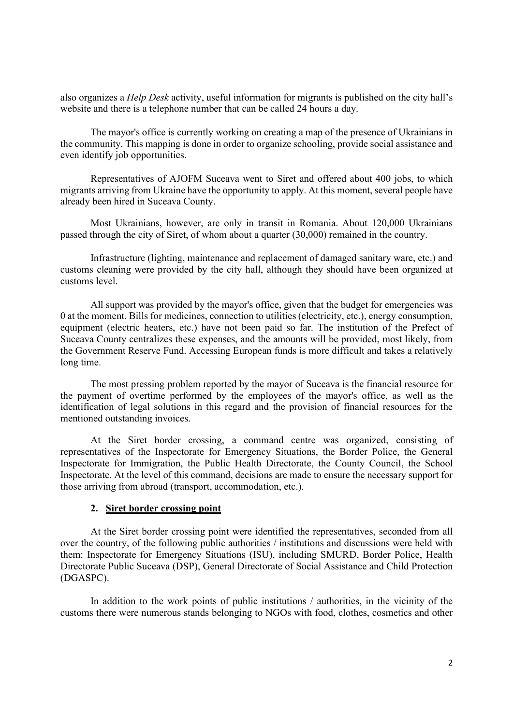also organizes a Help Desk activity, useful information for migrants is published on the city hall's website and there is a telephone number that can be called 24 hours a day.

The mayor's office is currently working on creating a map of the presence of Ukrainians in the community. This mapping is done in order to organize schooling, provide social assistance and even identify job opportunities.

Representatives of AJOFM Suceava went to Siret and offered about 400 jobs, to which migrants arriving from Ukraine have the opportunity to apply. At this moment, several people have already been hired in Suceava County.

Most Ukrainians, however, are only in transit in Romania. About 120,000 Ukrainians passed through the city of Siret, of whom about a quarter (30,000) remained in the country.

Infrastructure (lighting, maintenance and replacement of damaged sanitary ware, etc.) and customs cleaning were provided by the city hall, although they should have been organized at customs level.

All support was provided by the mayor's office, given that the budget for emergencies was 0 at the moment. Bills for medicines, connection to utilities (electricity, etc.), energy consumption, equipment (electric heaters, etc.) have not been paid so far. The institution of the Prefect of Suceava County centralizes these expenses, and the amounts will be provided, most likely, from the Government Reserve Fund. Accessing European funds is more difficult and takes a relatively long time.

The most pressing problem reported by the mayor of Suceava is the financial resource for the payment of overtime performed by the employees of the mayor's office, as well as the identification of legal solutions in this regard and the provision of financial resources for the mentioned outstanding invoices.

At the Siret border crossing, a command centre was organized, consisting of representatives of the Inspectorate for Emergency Situations, the Border Police, the General Inspectorate for Immigration, the Public Health Directorate, the County Council, the School Inspectorate. At the level of this command, decisions are made to ensure the necessary support for those arriving from abroad (transport, accommodation, etc.).

# 2. Siret border crossing point

At the Siret border crossing point were identified the representatives, seconded from all over the country, of the following public authorities / institutions and discussions were held with them: Inspectorate for Emergency Situations (ISU), including SMURD, Border Police, Health Directorate Public Suceava (DSP), General Directorate of Social Assistance and Child Protection (DGASPC).

In addition to the work points of public institutions / authorities, in the vicinity of the customs there were numerous stands belonging to NGOs with food, clothes, cosmetics and other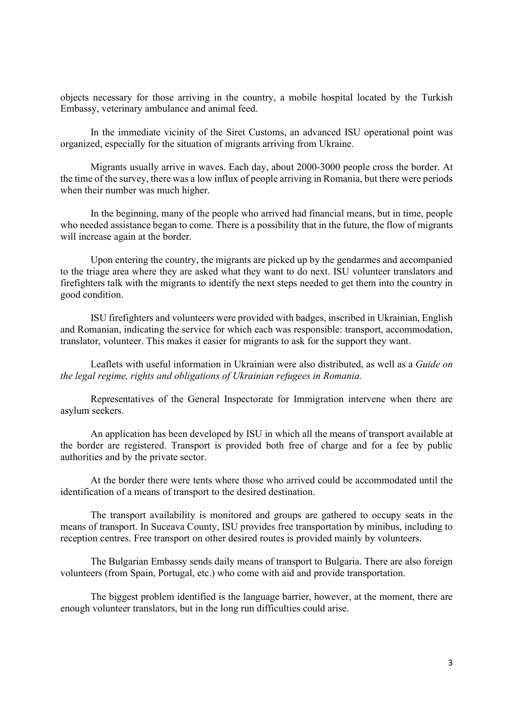objects necessary for those arriving in the country, a mobile hospital located by the Turkish Embassy, veterinary ambulance and animal feed.

In the immediate vicinity of the Siret Customs, an advanced ISU operational point was organized, especially for the situation of migrants arriving from Ukraine.

Migrants usually arrive in waves. Each day, about 2000-3000 people cross the border. At the time of the survey, there was a low influx of people arriving in Romania, but there were periods when their number was much higher.

In the beginning, many of the people who arrived had financial means, but in time, people who needed assistance began to come. There is a possibility that in the future, the flow of migrants will increase again at the border.

Upon entering the country, the migrants are picked up by the gendarmes and accompanied to the triage area where they are asked what they want to do next. ISU volunteer translators and firefighters talk with the migrants to identify the next steps needed to get them into the country in good condition.

ISU firefighters and volunteers were provided with badges, inscribed in Ukrainian, English and Romanian, indicating the service for which each was responsible: transport, accommodation, translator, volunteer. This makes it easier for migrants to ask for the support they want.

Leaflets with useful information in Ukrainian were also distributed, as well as a Guide on the legal regime, rights and obligations of Ukrainian refugees in Romania.

Representatives of the General Inspectorate for Immigration intervene when there are asylum seekers.

An application has been developed by ISU in which all the means of transport available at the border are registered. Transport is provided both free of charge and for a fee by public authorities and by the private sector.

At the border there were tents where those who arrived could be accommodated until the identification of a means of transport to the desired destination.

The transport availability is monitored and groups are gathered to occupy seats in the means of transport. In Suceava County, ISU provides free transportation by minibus, including to reception centres. Free transport on other desired routes is provided mainly by volunteers.

The Bulgarian Embassy sends daily means of transport to Bulgaria. There are also foreign volunteers (from Spain, Portugal, etc.) who come with aid and provide transportation.

The biggest problem identified is the language barrier, however, at the moment, there are enough volunteer translators, but in the long run difficulties could arise.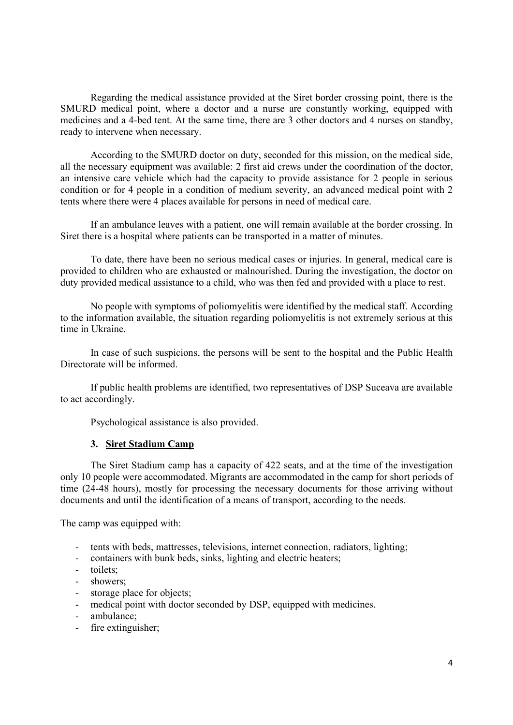Regarding the medical assistance provided at the Siret border crossing point, there is the SMURD medical point, where a doctor and a nurse are constantly working, equipped with medicines and a 4-bed tent. At the same time, there are 3 other doctors and 4 nurses on standby, ready to intervene when necessary.

According to the SMURD doctor on duty, seconded for this mission, on the medical side, all the necessary equipment was available: 2 first aid crews under the coordination of the doctor, an intensive care vehicle which had the capacity to provide assistance for 2 people in serious condition or for 4 people in a condition of medium severity, an advanced medical point with 2 tents where there were 4 places available for persons in need of medical care.

If an ambulance leaves with a patient, one will remain available at the border crossing. In Siret there is a hospital where patients can be transported in a matter of minutes.

To date, there have been no serious medical cases or injuries. In general, medical care is provided to children who are exhausted or malnourished. During the investigation, the doctor on duty provided medical assistance to a child, who was then fed and provided with a place to rest.

No people with symptoms of poliomyelitis were identified by the medical staff. According to the information available, the situation regarding poliomyelitis is not extremely serious at this time in Ukraine.

In case of such suspicions, the persons will be sent to the hospital and the Public Health Directorate will be informed.

If public health problems are identified, two representatives of DSP Suceava are available to act accordingly.

Psychological assistance is also provided.

## 3. Siret Stadium Camp

The Siret Stadium camp has a capacity of 422 seats, and at the time of the investigation only 10 people were accommodated. Migrants are accommodated in the camp for short periods of time (24-48 hours), mostly for processing the necessary documents for those arriving without documents and until the identification of a means of transport, according to the needs.

The camp was equipped with:

- tents with beds, mattresses, televisions, internet connection, radiators, lighting;
- containers with bunk beds, sinks, lighting and electric heaters;
- toilets;
- showers;
- storage place for objects;
- medical point with doctor seconded by DSP, equipped with medicines.
- ambulance;
- fire extinguisher;